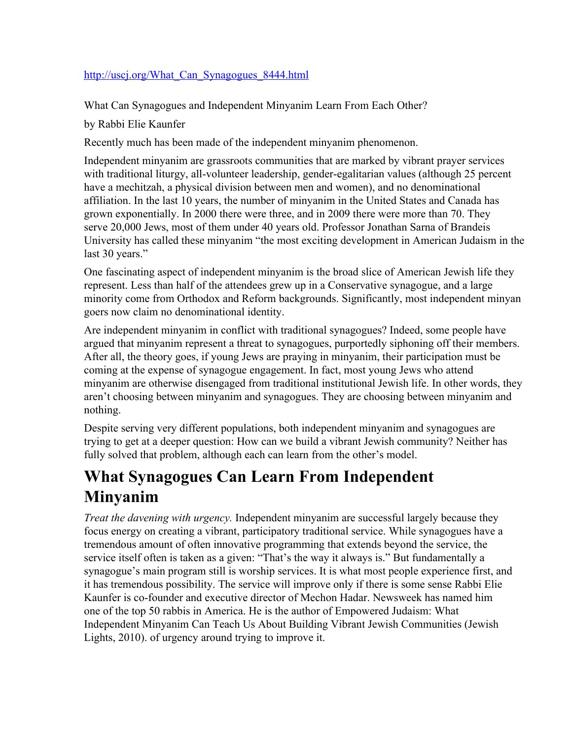### [http://uscj.org/What\\_Can\\_Synagogues\\_8444.html](http://www.google.com/url?q=http%3A%2F%2Fuscj.org%2FWhat_Can_Synagogues_8444.html&sa=D&sntz=1&usg=AFQjCNEtmhOVcvUdmXKa0NU_g4mPALOmAQ)

What Can Synagogues and Independent Minyanim Learn From Each Other?

#### by Rabbi Elie Kaunfer

Recently much has been made of the independent minyanim phenomenon.

Independent minyanim are grassroots communities that are marked by vibrant prayer services with traditional liturgy, all-volunteer leadership, gender-egalitarian values (although 25 percent have a mechitzah, a physical division between men and women), and no denominational affiliation. In the last 10 years, the number of minyanim in the United States and Canada has grown exponentially. In 2000 there were three, and in 2009 there were more than 70. They serve 20,000 Jews, most of them under 40 years old. Professor Jonathan Sarna of Brandeis University has called these minyanim "the most exciting development in American Judaism in the last 30 years."

One fascinating aspect of independent minyanim is the broad slice of American Jewish life they represent. Less than half of the attendees grew up in a Conservative synagogue, and a large minority come from Orthodox and Reform backgrounds. Significantly, most independent minyan goers now claim no denominational identity.

Are independent minyanim in conflict with traditional synagogues? Indeed, some people have argued that minyanim represent a threat to synagogues, purportedly siphoning off their members. After all, the theory goes, if young Jews are praying in minyanim, their participation must be coming at the expense of synagogue engagement. In fact, most young Jews who attend minyanim are otherwise disengaged from traditional institutional Jewish life. In other words, they aren't choosing between minyanim and synagogues. They are choosing between minyanim and nothing.

Despite serving very different populations, both independent minyanim and synagogues are trying to get at a deeper question: How can we build a vibrant Jewish community? Neither has fully solved that problem, although each can learn from the other's model.

### **What Synagogues Can Learn From Independent Minyanim**

*Treat the davening with urgency.* Independent minyanim are successful largely because they focus energy on creating a vibrant, participatory traditional service. While synagogues have a tremendous amount of often innovative programming that extends beyond the service, the service itself often is taken as a given: "That's the way it always is." But fundamentally a synagogue's main program still is worship services. It is what most people experience first, and it has tremendous possibility. The service will improve only if there is some sense Rabbi Elie Kaunfer is co-founder and executive director of Mechon Hadar. Newsweek has named him one of the top 50 rabbis in America. He is the author of Empowered Judaism: What Independent Minyanim Can Teach Us About Building Vibrant Jewish Communities (Jewish Lights, 2010). of urgency around trying to improve it.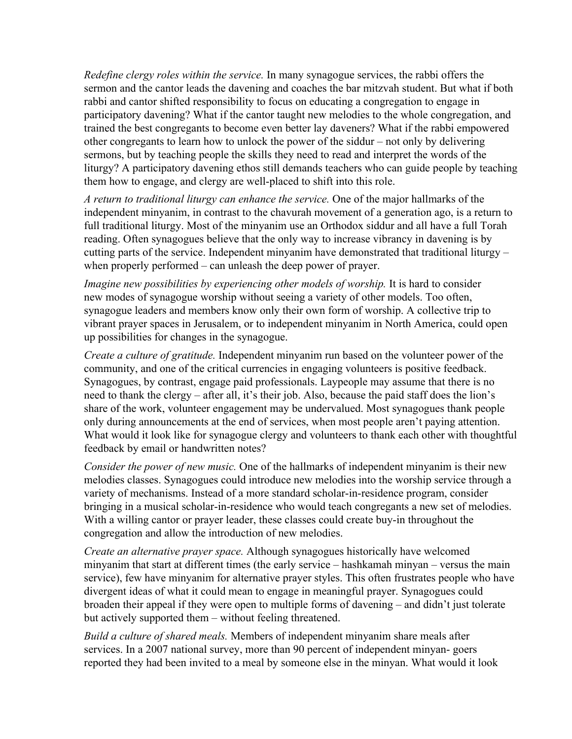*Redefine clergy roles within the service.* In many synagogue services, the rabbi offers the sermon and the cantor leads the davening and coaches the bar mitzvah student. But what if both rabbi and cantor shifted responsibility to focus on educating a congregation to engage in participatory davening? What if the cantor taught new melodies to the whole congregation, and trained the best congregants to become even better lay daveners? What if the rabbi empowered other congregants to learn how to unlock the power of the siddur – not only by delivering sermons, but by teaching people the skills they need to read and interpret the words of the liturgy? A participatory davening ethos still demands teachers who can guide people by teaching them how to engage, and clergy are well-placed to shift into this role.

*A return to traditional liturgy can enhance the service.* One of the major hallmarks of the independent minyanim, in contrast to the chavurah movement of a generation ago, is a return to full traditional liturgy. Most of the minyanim use an Orthodox siddur and all have a full Torah reading. Often synagogues believe that the only way to increase vibrancy in davening is by cutting parts of the service. Independent minyanim have demonstrated that traditional liturgy – when properly performed – can unleash the deep power of prayer.

*Imagine new possibilities by experiencing other models of worship.* It is hard to consider new modes of synagogue worship without seeing a variety of other models. Too often, synagogue leaders and members know only their own form of worship. A collective trip to vibrant prayer spaces in Jerusalem, or to independent minyanim in North America, could open up possibilities for changes in the synagogue.

*Create a culture of gratitude.* Independent minyanim run based on the volunteer power of the community, and one of the critical currencies in engaging volunteers is positive feedback. Synagogues, by contrast, engage paid professionals. Laypeople may assume that there is no need to thank the clergy – after all, it's their job. Also, because the paid staff does the lion's share of the work, volunteer engagement may be undervalued. Most synagogues thank people only during announcements at the end of services, when most people aren't paying attention. What would it look like for synagogue clergy and volunteers to thank each other with thoughtful feedback by email or handwritten notes?

*Consider the power of new music.* One of the hallmarks of independent minyanim is their new melodies classes. Synagogues could introduce new melodies into the worship service through a variety of mechanisms. Instead of a more standard scholar-in-residence program, consider bringing in a musical scholar-in-residence who would teach congregants a new set of melodies. With a willing cantor or prayer leader, these classes could create buy-in throughout the congregation and allow the introduction of new melodies.

*Create an alternative prayer space.* Although synagogues historically have welcomed minyanim that start at different times (the early service – hashkamah minyan – versus the main service), few have minyanim for alternative prayer styles. This often frustrates people who have divergent ideas of what it could mean to engage in meaningful prayer. Synagogues could broaden their appeal if they were open to multiple forms of davening – and didn't just tolerate but actively supported them – without feeling threatened.

*Build a culture of shared meals.* Members of independent minyanim share meals after services. In a 2007 national survey, more than 90 percent of independent minyan-goers reported they had been invited to a meal by someone else in the minyan. What would it look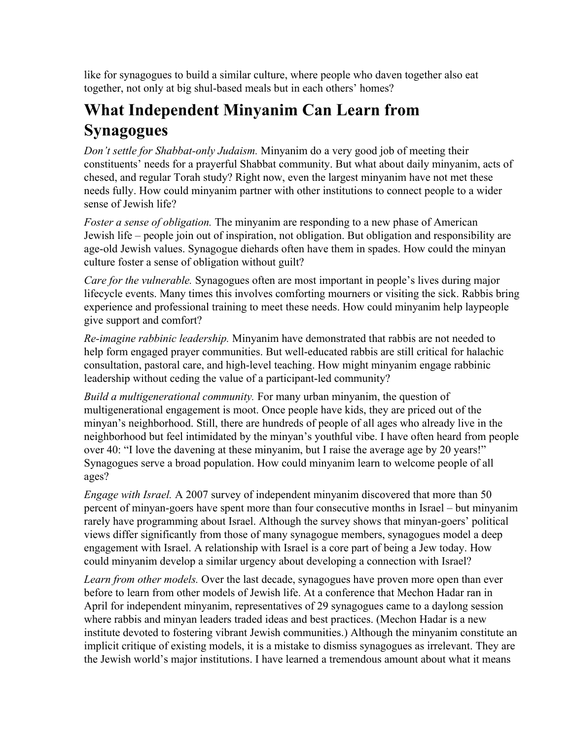like for synagogues to build a similar culture, where people who daven together also eat together, not only at big shul-based meals but in each others' homes?

## **What Independent Minyanim Can Learn from Synagogues**

*Don't settle for Shabbat-only Judaism.* Minyanim do a very good job of meeting their constituents' needs for a prayerful Shabbat community. But what about daily minyanim, acts of chesed, and regular Torah study? Right now, even the largest minyanim have not met these needs fully. How could minyanim partner with other institutions to connect people to a wider sense of Jewish life?

*Foster a sense of obligation.* The minyanim are responding to a new phase of American Jewish life – people join out of inspiration, not obligation. But obligation and responsibility are age-old Jewish values. Synagogue diehards often have them in spades. How could the minyan culture foster a sense of obligation without guilt?

*Care for the vulnerable.* Synagogues often are most important in people's lives during major lifecycle events. Many times this involves comforting mourners or visiting the sick. Rabbis bring experience and professional training to meet these needs. How could minyanim help laypeople give support and comfort?

*Reimagine rabbinic leadership.* Minyanim have demonstrated that rabbis are not needed to help form engaged prayer communities. But well-educated rabbis are still critical for halachic consultation, pastoral care, and high-level teaching. How might minyanim engage rabbinic leadership without ceding the value of a participant-led community?

*Build a multigenerational community.* For many urban minyanim, the question of multigenerational engagement is moot. Once people have kids, they are priced out of the minyan's neighborhood. Still, there are hundreds of people of all ages who already live in the neighborhood but feel intimidated by the minyan's youthful vibe. I have often heard from people over 40: "I love the davening at these minyanim, but I raise the average age by 20 years!" Synagogues serve a broad population. How could minyanim learn to welcome people of all ages?

*Engage with Israel.* A 2007 survey of independent minyanim discovered that more than 50 percent of minyan-goers have spent more than four consecutive months in Israel – but minyanim rarely have programming about Israel. Although the survey shows that minyan-goers' political views differ significantly from those of many synagogue members, synagogues model a deep engagement with Israel. A relationship with Israel is a core part of being a Jew today. How could minyanim develop a similar urgency about developing a connection with Israel?

*Learn from other models.* Over the last decade, synagogues have proven more open than ever before to learn from other models of Jewish life. At a conference that Mechon Hadar ran in April for independent minyanim, representatives of 29 synagogues came to a daylong session where rabbis and minyan leaders traded ideas and best practices. (Mechon Hadar is a new institute devoted to fostering vibrant Jewish communities.) Although the minyanim constitute an implicit critique of existing models, it is a mistake to dismiss synagogues as irrelevant. They are the Jewish world's major institutions. I have learned a tremendous amount about what it means